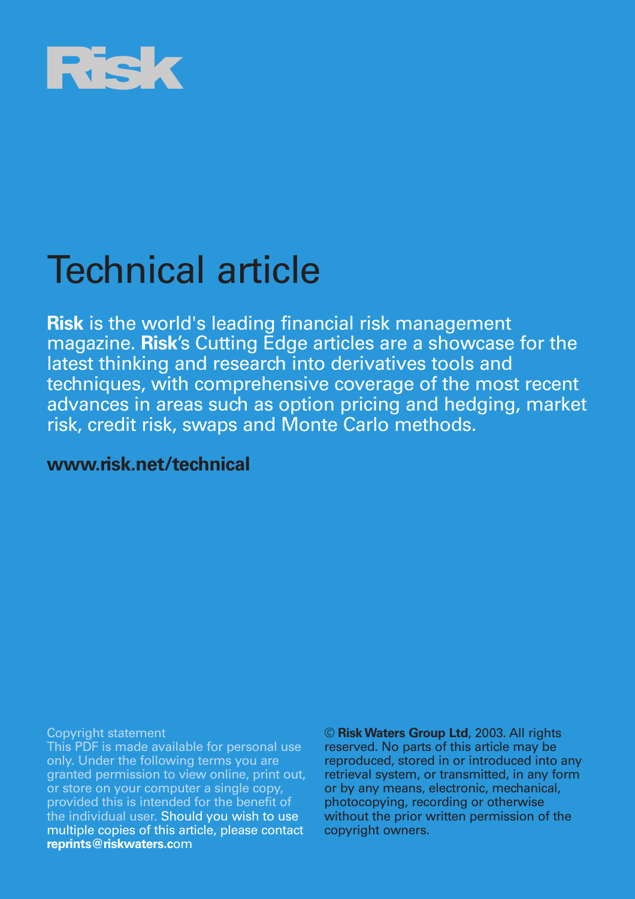

## Technical article

**Risk** is the world's leading financial risk management magazine. **Risk**'s Cutting Edge articles are a showcase for the latest thinking and research into derivatives tools and techniques, with comprehensive coverage of the most recent advances in areas such as option pricing and hedging, market risk, credit risk, swaps and Monte Carlo methods.

## **www.risk.net/technical**

Copyright statement

This PDF is made available for personal use only. Under the following terms you are granted permission to view online, print out, or store on your computer a single copy, provided this is intended for the benefit of the individual user. Should you wish to use multiple copies of this article, please contact **reprints@riskwaters.c**om

© **Risk Waters Group Ltd**, 2003. All rights reserved. No parts of this article may be reproduced, stored in or introduced into any retrieval system, or transmitted, in any form or by any means, electronic, mechanical, photocopying, recording or otherwise without the prior written permission of the copyright owners.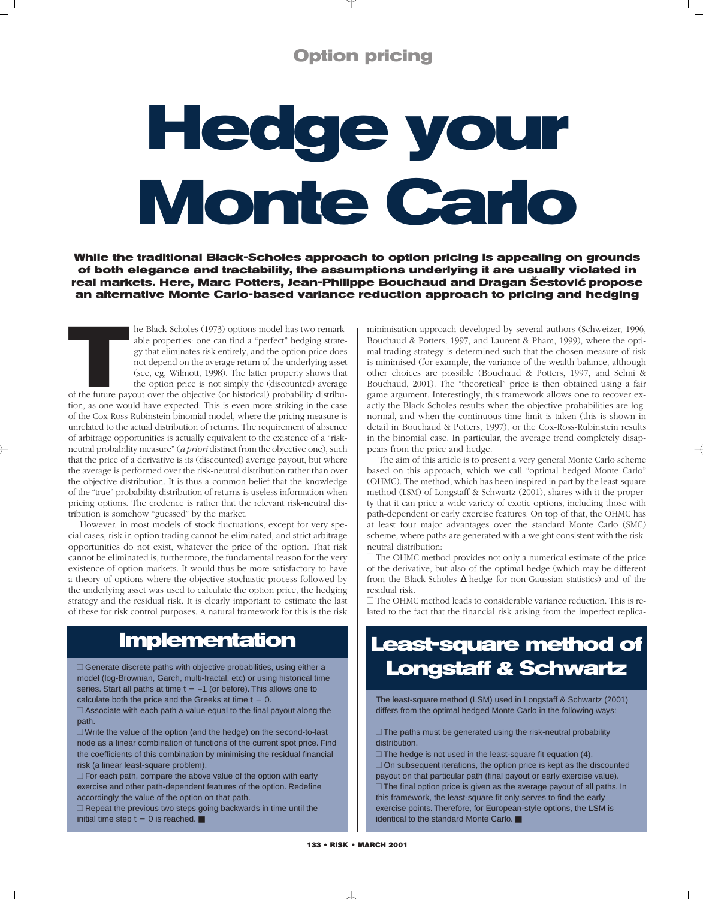# **Hedge your Monte Carlo**

**While the traditional Black-Scholes approach to option pricing is appealing on grounds of both elegance and tractability, the assumptions underlying it are usually violated in real markets. Here, Marc Potters, Jean-Philippe Bouchaud and Dragan Šestovic´ propose an alternative Monte Carlo-based variance reduction approach to pricing and hedging**

The Black-Scholes (1973) options model has two remark-<br>able properties: one can find a "perfect" hedging strate-<br>gy that eliminates risk entirely, and the option price does<br>not depend on the average return of the underlyin able properties: one can find a "perfect" hedging strategy that eliminates risk entirely, and the option price does not depend on the average return of the underlying asset (see, eg, Wilmott, 1998). The latter property shows that the option price is not simply the (discounted) average

tion, as one would have expected. This is even more striking in the case of the Cox-Ross-Rubinstein binomial model, where the pricing measure is unrelated to the actual distribution of returns. The requirement of absence of arbitrage opportunities is actually equivalent to the existence of a "riskneutral probability measure" (*a priori* distinct from the objective one), such that the price of a derivative is its (discounted) average payout, but where the average is performed over the risk-neutral distribution rather than over the objective distribution. It is thus a common belief that the knowledge of the "true" probability distribution of returns is useless information when pricing options. The credence is rather that the relevant risk-neutral distribution is somehow "guessed" by the market.

However, in most models of stock fluctuations, except for very special cases, risk in option trading cannot be eliminated, and strict arbitrage opportunities do not exist, whatever the price of the option. That risk cannot be eliminated is, furthermore, the fundamental reason for the very existence of option markets. It would thus be more satisfactory to have a theory of options where the objective stochastic process followed by the underlying asset was used to calculate the option price, the hedging strategy and the residual risk. It is clearly important to estimate the last of these for risk control purposes. A natural framework for this is the risk

## **Implementation**

 $\Box$  Generate discrete paths with objective probabilities, using either a model (log-Brownian, Garch, multi-fractal, etc) or using historical time series. Start all paths at time  $t = -1$  (or before). This allows one to calculate both the price and the Greeks at time  $t = 0$ .

 $\Box$  Associate with each path a value equal to the final payout along the path.

 Write the value of the option (and the hedge) on the second-to-last node as a linear combination of functions of the current spot price. Find the coefficients of this combination by minimising the residual financial risk (a linear least-square problem).

 $\Box$  For each path, compare the above value of the option with early exercise and other path-dependent features of the option. Redefine accordingly the value of the option on that path.

 $\Box$  Repeat the previous two steps going backwards in time until the initial time step  $t = 0$  is reached.  $\blacksquare$ 

minimisation approach developed by several authors (Schweizer, 1996, Bouchaud & Potters, 1997, and Laurent & Pham, 1999), where the optimal trading strategy is determined such that the chosen measure of risk is minimised (for example, the variance of the wealth balance, although other choices are possible (Bouchaud & Potters, 1997, and Selmi & Bouchaud, 2001). The "theoretical" price is then obtained using a fair game argument. Interestingly, this framework allows one to recover exactly the Black-Scholes results when the objective probabilities are lognormal, and when the continuous time limit is taken (this is shown in detail in Bouchaud & Potters, 1997), or the Cox-Ross-Rubinstein results in the binomial case. In particular, the average trend completely disappears from the price and hedge.

The aim of this article is to present a very general Monte Carlo scheme based on this approach, which we call "optimal hedged Monte Carlo" (OHMC). The method, which has been inspired in part by the least-square method (LSM) of Longstaff & Schwartz (2001), shares with it the property that it can price a wide variety of exotic options, including those with path-dependent or early exercise features. On top of that, the OHMC has at least four major advantages over the standard Monte Carlo (SMC) scheme, where paths are generated with a weight consistent with the riskneutral distribution:

 $\Box$  The OHMC method provides not only a numerical estimate of the price of the derivative, but also of the optimal hedge (which may be different from the Black-Scholes ∆-hedge for non-Gaussian statistics) and of the residual risk.

 The OHMC method leads to considerable variance reduction. This is related to the fact that the financial risk arising from the imperfect replica-

## **Least-square method of Longstaff & Schwartz**

The least-square method (LSM) used in Longstaff & Schwartz (2001) differs from the optimal hedged Monte Carlo in the following ways:

 $\Box$  The paths must be generated using the risk-neutral probability distribution.

 $\Box$  The hedge is not used in the least-square fit equation (4).  $\Box$  On subsequent iterations, the option price is kept as the discounted payout on that particular path (final payout or early exercise value).  $\square$  The final option price is given as the average payout of all paths. In this framework, the least-square fit only serves to find the early exercise points. Therefore, for European-style options, the LSM is identical to the standard Monte Carlo. ■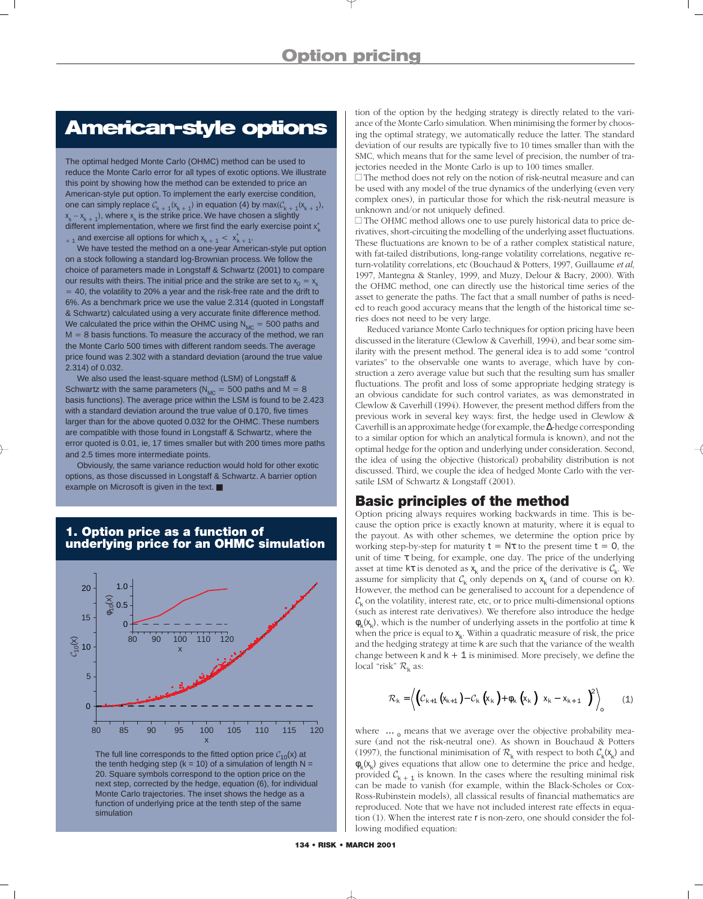## **American-style options**

The optimal hedged Monte Carlo (OHMC) method can be used to reduce the Monte Carlo error for all types of exotic options. We illustrate this point by showing how the method can be extended to price an American-style put option. To implement the early exercise condition, one can simply replace  $C_{k + 1}(x_{k + 1})$  in equation (4) by  $max(C_{k + 1}(x_{k + 1}),$  $x_{k,1} - x_{k,1}$ , where  $x_{s}$  is the strike price. We have chosen a slightly different implementation, where we first find the early exercise point  $x_k^*$  $x_{k+1}$  and exercise all options for which  $x_{k+1} < x_{k+1}^*$ .

We have tested the method on a one-year American-style put option on a stock following a standard log-Brownian process. We follow the choice of parameters made in Longstaff & Schwartz (2001) to compare our results with theirs. The initial price and the strike are set to  $x_0 = x_s$  $=$  40, the volatility to 20% a year and the risk-free rate and the drift to 6%. As a benchmark price we use the value 2.314 (quoted in Longstaff & Schwartz) calculated using a very accurate finite difference method. We calculated the price within the OHMC using  $N_{MC} = 500$  paths and  $M = 8$  basis functions. To measure the accuracy of the method, we ran the Monte Carlo 500 times with different random seeds. The average price found was 2.302 with a standard deviation (around the true value 2.314) of 0.032.

We also used the least-square method (LSM) of Longstaff & Schwartz with the same parameters ( $N_{MC}$  = 500 paths and M = 8 basis functions). The average price within the LSM is found to be 2.423 with a standard deviation around the true value of 0.170, five times larger than for the above quoted 0.032 for the OHMC. These numbers are compatible with those found in Longstaff & Schwartz, where the error quoted is 0.01, ie, 17 times smaller but with 200 times more paths and 2.5 times more intermediate points.

Obviously, the same variance reduction would hold for other exotic options, as those discussed in Longstaff & Schwartz. A barrier option example on Microsoft is given in the text. ■

#### **1. Option price as a function of underlying price for an OHMC simulation**



The full line corresponds to the fitted option price  $C_{10}(x)$  at the tenth hedging step ( $k = 10$ ) of a simulation of length N = 20. Square symbols correspond to the option price on the next step, corrected by the hedge, equation (6), for individual Monte Carlo trajectories. The inset shows the hedge as a function of underlying price at the tenth step of the same simulation

tion of the option by the hedging strategy is directly related to the variance of the Monte Carlo simulation. When minimising the former by choosing the optimal strategy, we automatically reduce the latter. The standard deviation of our results are typically five to 10 times smaller than with the SMC, which means that for the same level of precision, the number of trajectories needed in the Monte Carlo is up to 100 times smaller.

 $\Box$  The method does not rely on the notion of risk-neutral measure and can be used with any model of the true dynamics of the underlying (even very complex ones), in particular those for which the risk-neutral measure is unknown and/or not uniquely defined.

 The OHMC method allows one to use purely historical data to price derivatives, short-circuiting the modelling of the underlying asset fluctuations. These fluctuations are known to be of a rather complex statistical nature, with fat-tailed distributions, long-range volatility correlations, negative return-volatility correlations, etc (Bouchaud & Potters, 1997, Guillaume *et al*, 1997, Mantegna & Stanley, 1999, and Muzy, Delour & Bacry, 2000). With the OHMC method, one can directly use the historical time series of the asset to generate the paths. The fact that a small number of paths is needed to reach good accuracy means that the length of the historical time series does not need to be very large.

Reduced variance Monte Carlo techniques for option pricing have been discussed in the literature (Clewlow & Caverhill, 1994), and bear some similarity with the present method. The general idea is to add some "control variates" to the observable one wants to average, which have by construction a zero average value but such that the resulting sum has smaller fluctuations. The profit and loss of some appropriate hedging strategy is an obvious candidate for such control variates, as was demonstrated in Clewlow & Caverhill (1994). However, the present method differs from the previous work in several key ways: first, the hedge used in Clewlow & Caverhill is an approximate hedge (for example, the ∆-hedge corresponding to a similar option for which an analytical formula is known), and not the optimal hedge for the option and underlying under consideration. Second, the idea of using the objective (historical) probability distribution is not discussed. Third, we couple the idea of hedged Monte Carlo with the versatile LSM of Schwartz & Longstaff (2001).

#### **Basic principles of the method**

Option pricing always requires working backwards in time. This is because the option price is exactly known at maturity, where it is equal to the payout. As with other schemes, we determine the option price by working step-by-step for maturity  $t = N\tau$  to the present time  $t = 0$ , the unit of time  $\tau$  being, for example, one day. The price of the underlying asset at time  $k\tau$  is denoted as  $x_k$  and the price of the derivative is  $\mathcal{C}_k$ . We assume for simplicity that  $C_k$  only depends on  $x_k$  (and of course on k). However, the method can be generalised to account for a dependence of  $\mathcal{C}_{k}$  on the volatility, interest rate, etc, or to price multi-dimensional options (such as interest rate derivatives). We therefore also introduce the hedge  $\phi_k(x_k)$ , which is the number of underlying assets in the portfolio at time k when the price is equal to  $x_k$ . Within a quadratic measure of risk, the price and the hedging strategy at time k are such that the variance of the wealth change between  $k$  and  $k + 1$  is minimised. More precisely, we define the local "risk"  $\mathcal{R}_k$  as:

$$
\mathcal{R}_{k} = \left\langle \left( \mathcal{C}_{k+1} \left( x_{k+1} \right) - \mathcal{C}_{k} \left( x_{k} \right) + \phi_{k} \left( x_{k} \right) \left[ x_{k} - x_{k+1} \right] \right)^{2} \right\rangle_{0} \tag{1}
$$

where  $\langle \ldots \rangle$ <sub>o</sub> means that we average over the objective probability measure (and not the risk-neutral one). As shown in Bouchaud & Potters (1997), the functional minimisation of  $\mathcal{R}_k$  with respect to both  $\mathcal{C}_k(\mathsf{x}_k)$  and  $\phi_{k}(x_{k})$  gives equations that allow one to determine the price and hedge, provided  $C_{k + 1}$  is known. In the cases where the resulting minimal risk can be made to vanish (for example, within the Black-Scholes or Cox-Ross-Rubinstein models), all classical results of financial mathematics are reproduced. Note that we have not included interest rate effects in equation (1). When the interest rate r is non-zero, one should consider the following modified equation: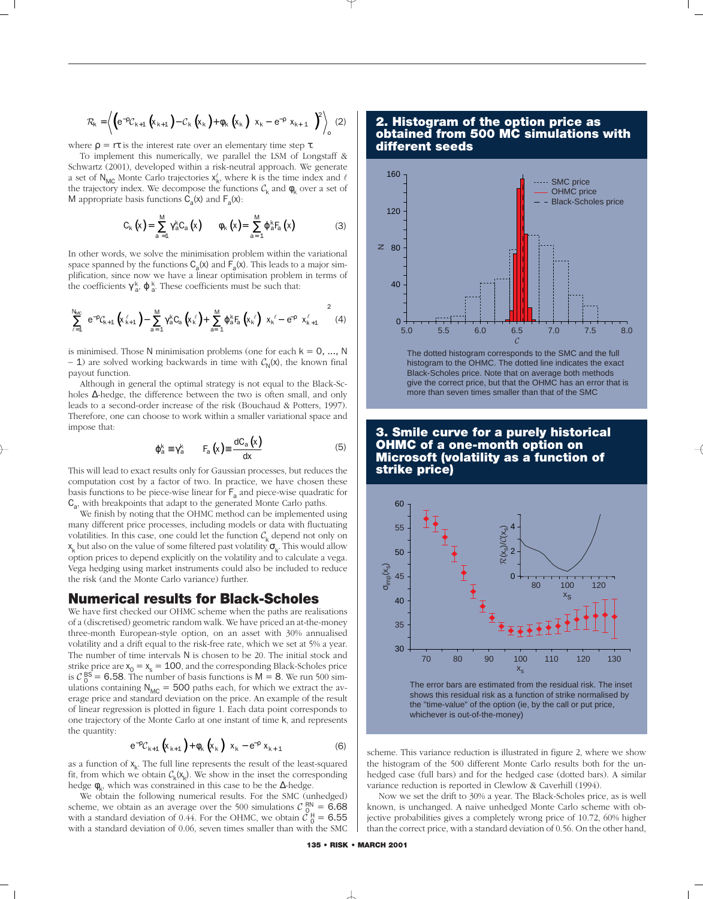$$
\mathcal{R}_{k} = \left\langle \left( e^{-\rho} \mathcal{C}_{k+1} \left( x_{k+1} \right) - \mathcal{C}_{k} \left( x_{k} \right) + \phi_{k} \left( x_{k} \right) \left[ x_{k} - e^{-\rho} \left( x_{k+1} \right) \right] \right)^{2} \right\rangle_{0} \tag{2}
$$

where  $\rho = r\tau$  is the interest rate over an elementary time step  $\tau$ .

To implement this numerically, we parallel the LSM of Longstaff & Schwartz (2001), developed within a risk-neutral approach. We generate a set of N<sub>MC</sub> Monte Carlo trajectories  $x_k^{\ell}$ , where k is the time index and  $\ell$ the trajectory index. We decompose the functions  $\mathcal{C}_k$  and  $\phi_k$  over a set of M appropriate basis functions  $C_a(x)$  and  $F_a(x)$ :

$$
C_{k}\left(x\right)=\sum_{a=1}^{M}\gamma_{a}^{k}C_{a}\left(x\right) \qquad \phi_{k}\left(x\right)=\sum_{a=1}^{M}\phi_{a}^{k}F_{a}\left(x\right) \tag{3}
$$

In other words, we solve the minimisation problem within the variational space spanned by the functions  $C_a(x)$  and  $F_a(x)$ . This leads to a major simplification, since now we have a linear optimisation problem in terms of the coefficients  $\gamma_{a}^{k}$ ,  $\varphi_{a}^{k}$ . These coefficients must be such that:

$$
\sum_{\ell=1}^{N_{M\!C}}\!\!\left(e^{-\rho}\mathcal{C}_{k+1}\left(x_{k+1}^{\ell}\right)\!-\sum_{a=1}^{M}\gamma_{a}^{k}\mathcal{C}_{a}\left(x_{k}^{\;\ell}\right)\!+\sum_{a=1}^{M}\phi_{a}^{k}F_{a}\left(x_{k}^{\;\ell}\right)\!\!\left[\,x_{k}^{\;\ell}-\,\boldsymbol{\varepsilon}^{\rho}\!\!\!-\,x_{k+1}^{\ell}\right]\!\right)^{2}\,\,\mathrm{(4)}
$$

is minimised. Those N minimisation problems (one for each  $k = 0, ..., N$ – 1) are solved working backwards in time with  $C_{N}(x)$ , the known final payout function.

Although in general the optimal strategy is not equal to the Black-Scholes ∆-hedge, the difference between the two is often small, and only leads to a second-order increase of the risk (Bouchaud & Potters, 1997). Therefore, one can choose to work within a smaller variational space and impose that:

$$
\varphi_{a}^{k} \equiv \gamma_{a}^{k} \qquad F_{a}\left(x\right) \equiv \frac{dC_{a}\left(x\right)}{dx} \tag{5}
$$

This will lead to exact results only for Gaussian processes, but reduces the computation cost by a factor of two. In practice, we have chosen these basis functions to be piece-wise linear for  $F_a$  and piece-wise quadratic for  $C_{a}$ , with breakpoints that adapt to the generated Monte Carlo paths.

We finish by noting that the OHMC method can be implemented using many different price processes, including models or data with fluctuating volatilities. In this case, one could let the function  $C_k$  depend not only on  $x_k$  but also on the value of some filtered past volatility  $\sigma_k$ . This would allow option prices to depend explicitly on the volatility and to calculate a vega. Vega hedging using market instruments could also be included to reduce the risk (and the Monte Carlo variance) further.

#### **Numerical results for Black-Scholes**

We have first checked our OHMC scheme when the paths are realisations of a (discretised) geometric random walk. We have priced an at-the-money three-month European-style option, on an asset with 30% annualised volatility and a drift equal to the risk-free rate, which we set at 5% a year. The number of time intervals N is chosen to be 20. The initial stock and strike price are  $x_0 = x_s = 100$ , and the corresponding Black-Scholes price is  $C_0^{BS} = 6.58$ . The number of basis functions is  $M = 8$ . We run 500 simulations containing  $N_{MC} = 500$  paths each, for which we extract the average price and standard deviation on the price. An example of the result of linear regression is plotted in figure 1. Each data point corresponds to one trajectory of the Monte Carlo at one instant of time k, and represents the quantity:

$$
e^{-\rho} \mathcal{C}_{k+1} \left( x_{k+1} \right) + \phi_k \left( x_k \right) \left[ x_k - e^{-\rho} x_{k+1} \right] \tag{6}
$$

as a function of  $x_k$ . The full line represents the result of the least-squared fit, from which we obtain  $C_k(x_k)$ . We show in the inset the corresponding hedge  $\phi_k$ , which was constrained in this case to be the ∆-hedge.

We obtain the following numerical results. For the SMC (unhedged) scheme, we obtain as an average over the 500 simulations  $C_{0}^{RN} = 6.68$ with a standard deviation of 0.44. For the OHMC, we obtain  $\tilde{C}_0^H = 6.55$ with a standard deviation of 0.06, seven times smaller than with the SMC

#### **2. Histogram of the option price as obtained from 500 MC simulations with different seeds**



The dotted histogram corresponds to the SMC and the full histogram to the OHMC. The dotted line indicates the exact Black-Scholes price. Note that on average both methods give the correct price, but that the OHMC has an error that is more than seven times smaller than that of the SMC

#### **3. Smile curve for a purely historical OHMC of a one-month option on Microsoft (volatility as a function of strike price)**



scheme. This variance reduction is illustrated in figure 2, where we show the histogram of the 500 different Monte Carlo results both for the unhedged case (full bars) and for the hedged case (dotted bars). A similar variance reduction is reported in Clewlow & Caverhill (1994).

Now we set the drift to 30% a year. The Black-Scholes price, as is well known, is unchanged. A naive unhedged Monte Carlo scheme with objective probabilities gives a completely wrong price of 10.72, 60% higher than the correct price, with a standard deviation of 0.56. On the other hand,